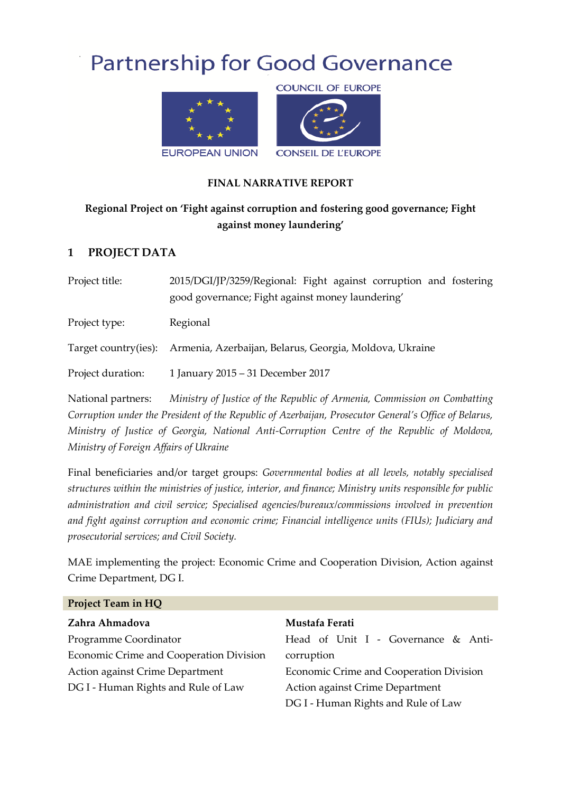# **Partnership for Good Governance**



## **FINAL NARRATIVE REPORT**

# **Regional Project on 'Fight against corruption and fostering good governance; Fight against money laundering'**

## **1 PROJECT DATA**

| Project title:    | 2015/DGI/JP/3259/Regional: Fight against corruption and fostering<br>good governance; Fight against money laundering' |
|-------------------|-----------------------------------------------------------------------------------------------------------------------|
| Project type:     | Regional                                                                                                              |
|                   | Target country(ies): Armenia, Azerbaijan, Belarus, Georgia, Moldova, Ukraine                                          |
| Project duration: | 1 January 2015 - 31 December 2017                                                                                     |

National partners: *Ministry of Justice of the Republic of Armenia, Commission on Combatting Corruption under the President of the Republic of Azerbaijan, Prosecutor General's Office of Belarus, Ministry of Justice of Georgia, National Anti-Corruption Centre of the Republic of Moldova, Ministry of Foreign Affairs of Ukraine*

Final beneficiaries and/or target groups: *Governmental bodies at all levels, notably specialised structures within the ministries of justice, interior, and finance; Ministry units responsible for public administration and civil service; Specialised agencies/bureaux/commissions involved in prevention and fight against corruption and economic crime; Financial intelligence units (FIUs); Judiciary and prosecutorial services; and Civil Society.*

MAE implementing the project: Economic Crime and Cooperation Division, Action against Crime Department, DG I.

| <b>Project Team in HQ</b>               |                                         |  |  |
|-----------------------------------------|-----------------------------------------|--|--|
| Zahra Ahmadova                          | Mustafa Ferati                          |  |  |
| Programme Coordinator                   | Head of Unit I - Governance & Anti-     |  |  |
| Economic Crime and Cooperation Division | corruption                              |  |  |
| Action against Crime Department         | Economic Crime and Cooperation Division |  |  |
| DG I - Human Rights and Rule of Law     | Action against Crime Department         |  |  |
|                                         | DG I - Human Rights and Rule of Law     |  |  |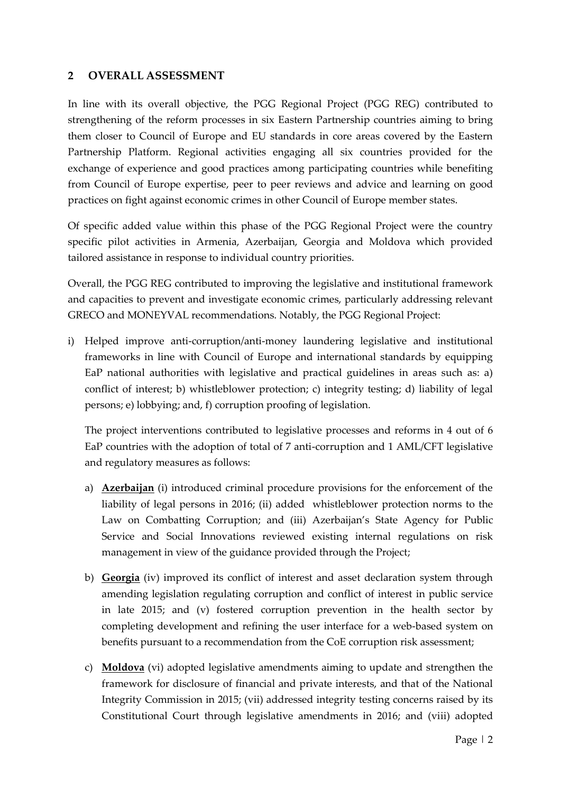## **2 OVERALL ASSESSMENT**

In line with its overall objective, the PGG Regional Project (PGG REG) contributed to strengthening of the reform processes in six Eastern Partnership countries aiming to bring them closer to Council of Europe and EU standards in core areas covered by the Eastern Partnership Platform. Regional activities engaging all six countries provided for the exchange of experience and good practices among participating countries while benefiting from Council of Europe expertise, peer to peer reviews and advice and learning on good practices on fight against economic crimes in other Council of Europe member states.

Of specific added value within this phase of the PGG Regional Project were the country specific pilot activities in Armenia, Azerbaijan, Georgia and Moldova which provided tailored assistance in response to individual country priorities.

Overall, the PGG REG contributed to improving the legislative and institutional framework and capacities to prevent and investigate economic crimes, particularly addressing relevant GRECO and MONEYVAL recommendations. Notably, the PGG Regional Project:

i) Helped improve anti-corruption/anti-money laundering legislative and institutional frameworks in line with Council of Europe and international standards by equipping EaP national authorities with legislative and practical guidelines in areas such as: a) conflict of interest; b) whistleblower protection; c) integrity testing; d) liability of legal persons; e) lobbying; and, f) corruption proofing of legislation.

The project interventions contributed to legislative processes and reforms in 4 out of 6 EaP countries with the adoption of total of 7 anti-corruption and 1 AML/CFT legislative and regulatory measures as follows:

- a) **Azerbaijan** (i) introduced criminal procedure provisions for the enforcement of the liability of legal persons in 2016; (ii) added whistleblower protection norms to the Law on Combatting Corruption; and (iii) Azerbaijan's State Agency for Public Service and Social Innovations reviewed existing internal regulations on risk management in view of the guidance provided through the Project;
- b) **Georgia** (iv) improved its conflict of interest and asset declaration system through amending legislation regulating corruption and conflict of interest in public service in late 2015; and (v) fostered corruption prevention in the health sector by completing development and refining the user interface for a web-based system on benefits pursuant to a recommendation from the CoE corruption risk assessment;
- c) **Moldova** (vi) adopted legislative amendments aiming to update and strengthen the framework for disclosure of financial and private interests, and that of the National Integrity Commission in 2015; (vii) addressed integrity testing concerns raised by its Constitutional Court through legislative amendments in 2016; and (viii) adopted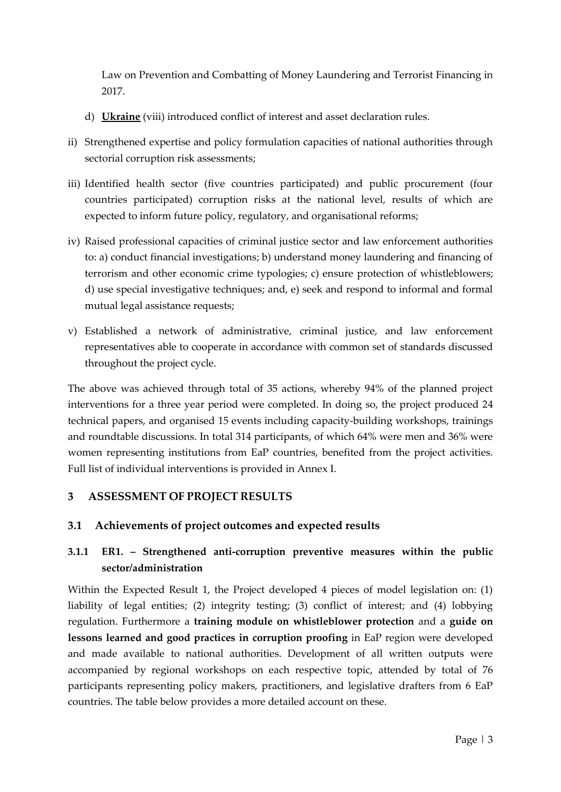Law on Prevention and Combatting of Money Laundering and Terrorist Financing in 2017.

- d) **Ukraine** (viii) introduced conflict of interest and asset declaration rules.
- ii) Strengthened expertise and policy formulation capacities of national authorities through sectorial corruption risk assessments;
- iii) Identified health sector (five countries participated) and public procurement (four countries participated) corruption risks at the national level, results of which are expected to inform future policy, regulatory, and organisational reforms;
- iv) Raised professional capacities of criminal justice sector and law enforcement authorities to: a) conduct financial investigations; b) understand money laundering and financing of terrorism and other economic crime typologies; c) ensure protection of whistleblowers; d) use special investigative techniques; and, e) seek and respond to informal and formal mutual legal assistance requests;
- v) Established a network of administrative, criminal justice, and law enforcement representatives able to cooperate in accordance with common set of standards discussed throughout the project cycle.

The above was achieved through total of 35 actions, whereby 94% of the planned project interventions for a three year period were completed. In doing so, the project produced 24 technical papers, and organised 15 events including capacity-building workshops, trainings and roundtable discussions. In total 314 participants, of which 64% were men and 36% were women representing institutions from EaP countries, benefited from the project activities. Full list of individual interventions is provided in Annex I.

# **3 ASSESSMENT OF PROJECT RESULTS**

## **3.1 Achievements of project outcomes and expected results**

# **3.1.1 ER1. – Strengthened anti-corruption preventive measures within the public sector/administration**

Within the Expected Result 1, the Project developed 4 pieces of model legislation on: (1) liability of legal entities; (2) integrity testing; (3) conflict of interest; and (4) lobbying regulation. Furthermore a **training module on whistleblower protection** and a **guide on lessons learned and good practices in corruption proofing** in EaP region were developed and made available to national authorities. Development of all written outputs were accompanied by regional workshops on each respective topic, attended by total of 76 participants representing policy makers, practitioners, and legislative drafters from 6 EaP countries. The table below provides a more detailed account on these.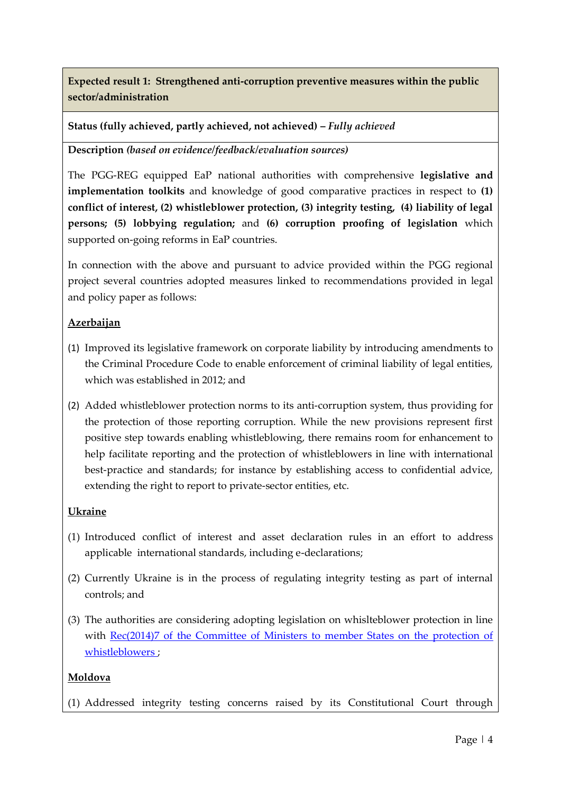**Expected result 1: Strengthened anti-corruption preventive measures within the public sector/administration**

**Status (fully achieved, partly achieved, not achieved) –** *Fully achieved*

**Description** *(based on evidence/feedback/evaluation sources)*

The PGG-REG equipped EaP national authorities with comprehensive **legislative and implementation toolkits** and knowledge of good comparative practices in respect to **(1) conflict of interest, (2) whistleblower protection, (3) integrity testing, (4) liability of legal persons; (5) lobbying regulation;** and **(6) corruption proofing of legislation** which supported on-going reforms in EaP countries.

In connection with the above and pursuant to advice provided within the PGG regional project several countries adopted measures linked to recommendations provided in legal and policy paper as follows:

## **Azerbaijan**

- (1) Improved its legislative framework on corporate liability by introducing amendments to the Criminal Procedure Code to enable enforcement of criminal liability of legal entities, which was established in 2012; and
- (2) Added whistleblower protection norms to its anti-corruption system, thus providing for the protection of those reporting corruption. While the new provisions represent first positive step towards enabling whistleblowing, there remains room for enhancement to help facilitate reporting and the protection of whistleblowers in line with international best-practice and standards; for instance by establishing access to confidential advice, extending the right to report to private-sector entities, etc.

#### **Ukraine**

- (1) Introduced conflict of interest and asset declaration rules in an effort to address applicable international standards, including e-declarations;
- (2) Currently Ukraine is in the process of regulating integrity testing as part of internal controls; and
- (3) The authorities are considering adopting legislation on whislteblower protection in line with Rec(2014)7 of the Committee of Ministers to member States on the protection of [whistleblowers](https://wcd.coe.int/ViewDoc.jsp?Ref=CM/Rec(2014)7&Language=lanEnglish&Site=CM&BackColorInternet=C3C3C3&BackColorIntranet=EDB021&BackColorLogged=F5D383) ;

#### **Moldova**

(1) Addressed integrity testing concerns raised by its Constitutional Court through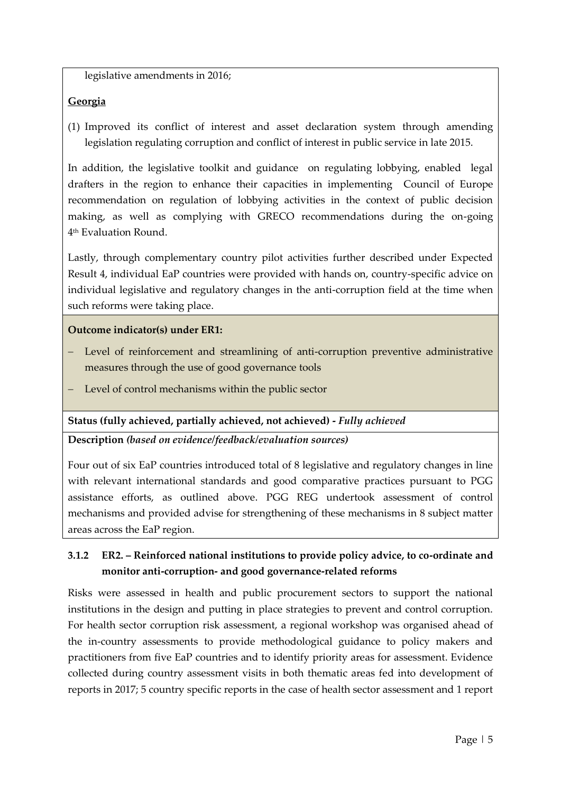legislative amendments in 2016;

## **Georgia**

(1) Improved its conflict of interest and asset declaration system through amending legislation regulating corruption and conflict of interest in public service in late 2015.

In addition, the legislative toolkit and guidance on regulating lobbying, enabled legal drafters in the region to enhance their capacities in implementing Council of Europe recommendation on regulation of lobbying activities in the context of public decision making, as well as complying with GRECO recommendations during the on-going 4 th Evaluation Round.

Lastly, through complementary country pilot activities further described under Expected Result 4, individual EaP countries were provided with hands on, country-specific advice on individual legislative and regulatory changes in the anti-corruption field at the time when such reforms were taking place.

## **Outcome indicator(s) under ER1:**

- Level of reinforcement and streamlining of anti-corruption preventive administrative measures through the use of good governance tools
- Level of control mechanisms within the public sector

## **Status (fully achieved, partially achieved, not achieved) -** *Fully achieved*

**Description** *(based on evidence/feedback/evaluation sources)*

Four out of six EaP countries introduced total of 8 legislative and regulatory changes in line with relevant international standards and good comparative practices pursuant to PGG assistance efforts, as outlined above. PGG REG undertook assessment of control mechanisms and provided advise for strengthening of these mechanisms in 8 subject matter areas across the EaP region.

# **3.1.2 ER2. – Reinforced national institutions to provide policy advice, to co-ordinate and monitor anti-corruption- and good governance-related reforms**

Risks were assessed in health and public procurement sectors to support the national institutions in the design and putting in place strategies to prevent and control corruption. For health sector corruption risk assessment, a regional workshop was organised ahead of the in-country assessments to provide methodological guidance to policy makers and practitioners from five EaP countries and to identify priority areas for assessment. Evidence collected during country assessment visits in both thematic areas fed into development of reports in 2017; 5 country specific reports in the case of health sector assessment and 1 report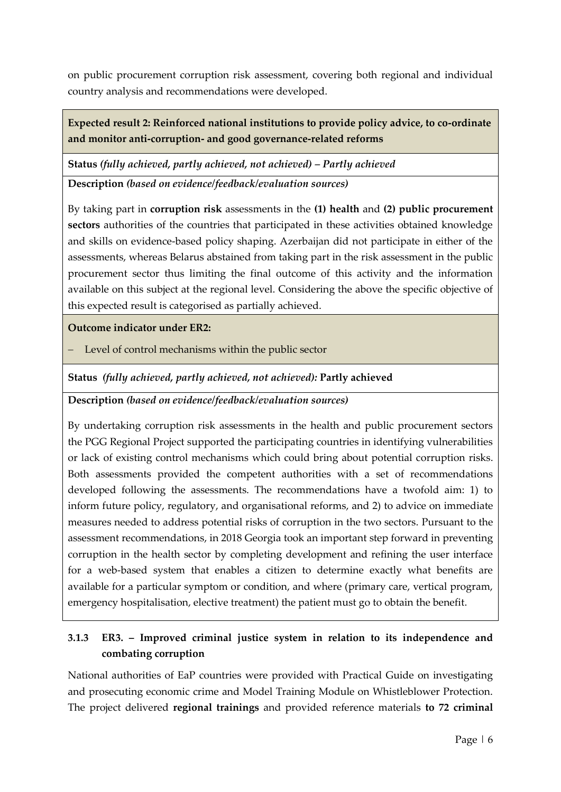on public procurement corruption risk assessment, covering both regional and individual country analysis and recommendations were developed.

**Expected result 2: Reinforced national institutions to provide policy advice, to co-ordinate and monitor anti-corruption- and good governance-related reforms**

**Status** *(fully achieved, partly achieved, not achieved) – Partly achieved*

**Description** *(based on evidence/feedback/evaluation sources)*

By taking part in **corruption risk** assessments in the **(1) health** and **(2) public procurement sectors** authorities of the countries that participated in these activities obtained knowledge and skills on evidence-based policy shaping. Azerbaijan did not participate in either of the assessments, whereas Belarus abstained from taking part in the risk assessment in the public procurement sector thus limiting the final outcome of this activity and the information available on this subject at the regional level. Considering the above the specific objective of this expected result is categorised as partially achieved.

**Outcome indicator under ER2:**

Level of control mechanisms within the public sector

**Status** *(fully achieved, partly achieved, not achieved):* **Partly achieved**

## **Description** *(based on evidence/feedback/evaluation sources)*

By undertaking corruption risk assessments in the health and public procurement sectors the PGG Regional Project supported the participating countries in identifying vulnerabilities or lack of existing control mechanisms which could bring about potential corruption risks. Both assessments provided the competent authorities with a set of recommendations developed following the assessments. The recommendations have a twofold aim: 1) to inform future policy, regulatory, and organisational reforms, and 2) to advice on immediate measures needed to address potential risks of corruption in the two sectors. Pursuant to the assessment recommendations, in 2018 Georgia took an important step forward in preventing corruption in the health sector by completing development and refining the user interface for a web-based system that enables a citizen to determine exactly what benefits are available for a particular symptom or condition, and where (primary care, vertical program, emergency hospitalisation, elective treatment) the patient must go to obtain the benefit.

# **3.1.3 ER3. – Improved criminal justice system in relation to its independence and combating corruption**

National authorities of EaP countries were provided with Practical Guide on investigating and prosecuting economic crime and Model Training Module on Whistleblower Protection. The project delivered **regional trainings** and provided reference materials **to 72 criminal**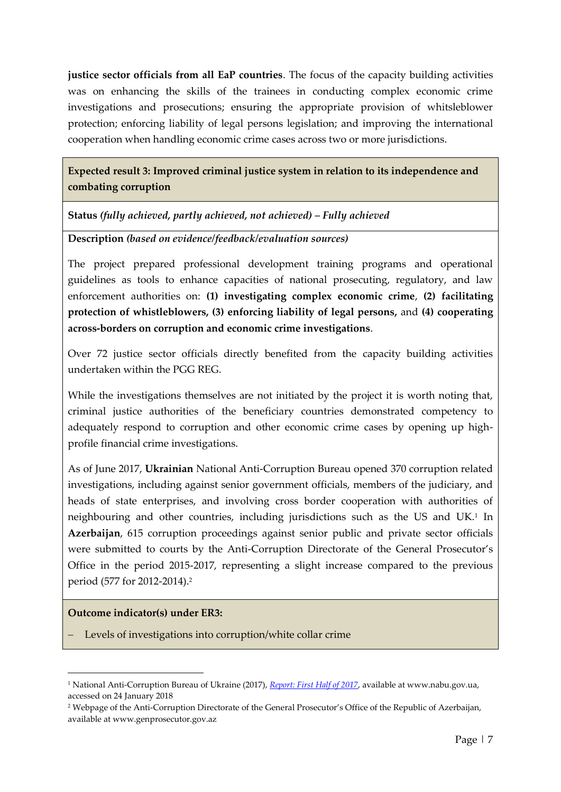**justice sector officials from all EaP countries**. The focus of the capacity building activities was on enhancing the skills of the trainees in conducting complex economic crime investigations and prosecutions; ensuring the appropriate provision of whitsleblower protection; enforcing liability of legal persons legislation; and improving the international cooperation when handling economic crime cases across two or more jurisdictions.

**Expected result 3: Improved criminal justice system in relation to its independence and combating corruption**

**Status** *(fully achieved, partly achieved, not achieved) – Fully achieved*

**Description** *(based on evidence/feedback/evaluation sources)*

The project prepared professional development training programs and operational guidelines as tools to enhance capacities of national prosecuting, regulatory, and law enforcement authorities on: **(1) investigating complex economic crime**, **(2) facilitating protection of whistleblowers, (3) enforcing liability of legal persons,** and **(4) cooperating across-borders on corruption and economic crime investigations**.

Over 72 justice sector officials directly benefited from the capacity building activities undertaken within the PGG REG.

While the investigations themselves are not initiated by the project it is worth noting that, criminal justice authorities of the beneficiary countries demonstrated competency to adequately respond to corruption and other economic crime cases by opening up highprofile financial crime investigations.

As of June 2017, **Ukrainian** National Anti-Corruption Bureau opened 370 corruption related investigations, including against senior government officials, members of the judiciary, and heads of state enterprises, and involving cross border cooperation with authorities of neighbouring and other countries, including jurisdictions such as the US and UK.<sup>1</sup> In **Azerbaijan**, 615 corruption proceedings against senior public and private sector officials were submitted to courts by the Anti-Corruption Directorate of the General Prosecutor's Office in the period 2015-2017, representing a slight increase compared to the previous period (577 for 2012-2014).<sup>2</sup>

#### **Outcome indicator(s) under ER3:**

-

Levels of investigations into corruption/white collar crime

<sup>1</sup> National Anti-Corruption Bureau of Ukraine (2017), *[Report: First Half of 2017](https://nabu.gov.ua/sites/default/files/reports/report_eng_0.pdf)*, available at www.nabu.gov.ua, accessed on 24 January 2018

<sup>2</sup> Webpage of the Anti-Corruption Directorate of the General Prosecutor's Office of the Republic of Azerbaijan, available at www.genprosecutor.gov.az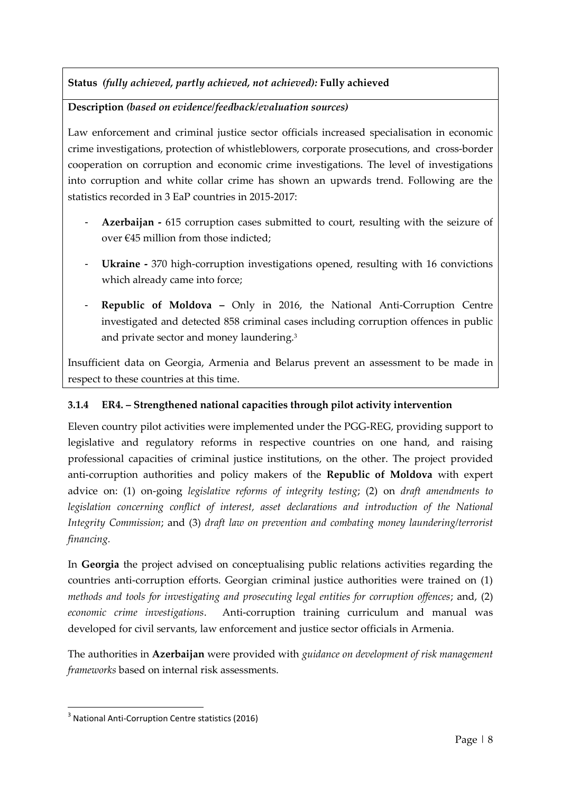**Status** *(fully achieved, partly achieved, not achieved):* **Fully achieved**

**Description** *(based on evidence/feedback/evaluation sources)*

Law enforcement and criminal justice sector officials increased specialisation in economic crime investigations, protection of whistleblowers, corporate prosecutions, and cross-border cooperation on corruption and economic crime investigations. The level of investigations into corruption and white collar crime has shown an upwards trend. Following are the statistics recorded in 3 EaP countries in 2015-2017:

- **Azerbaijan -** 615 corruption cases submitted to court, resulting with the seizure of over €45 million from those indicted;
- **Ukraine -** 370 high-corruption investigations opened, resulting with 16 convictions which already came into force;
- **Republic of Moldova –** Only in 2016, the National Anti-Corruption Centre investigated and detected 858 criminal cases including corruption offences in public and private sector and money laundering.<sup>3</sup>

Insufficient data on Georgia, Armenia and Belarus prevent an assessment to be made in respect to these countries at this time.

# **3.1.4 ER4. – Strengthened national capacities through pilot activity intervention**

Eleven country pilot activities were implemented under the PGG-REG, providing support to legislative and regulatory reforms in respective countries on one hand, and raising professional capacities of criminal justice institutions, on the other. The project provided anti-corruption authorities and policy makers of the **Republic of Moldova** with expert advice on: (1) on-going *legislative reforms of integrity testing*; (2) on *draft amendments to*  legislation concerning conflict of interest, asset declarations and introduction of the National *Integrity Commission*; and (3) *draft law on prevention and combating money laundering/terrorist financing.* 

In **Georgia** the project advised on conceptualising public relations activities regarding the countries anti-corruption efforts. Georgian criminal justice authorities were trained on (1) *methods and tools for investigating and prosecuting legal entities for corruption offences*; and, (2) *economic crime investigations*. Anti-corruption training curriculum and manual was developed for civil servants, law enforcement and justice sector officials in Armenia.

The authorities in **Azerbaijan** were provided with *guidance on development of risk management frameworks* based on internal risk assessments.

<sup>-</sup><sup>3</sup> National Anti-Corruption Centre statistics (2016)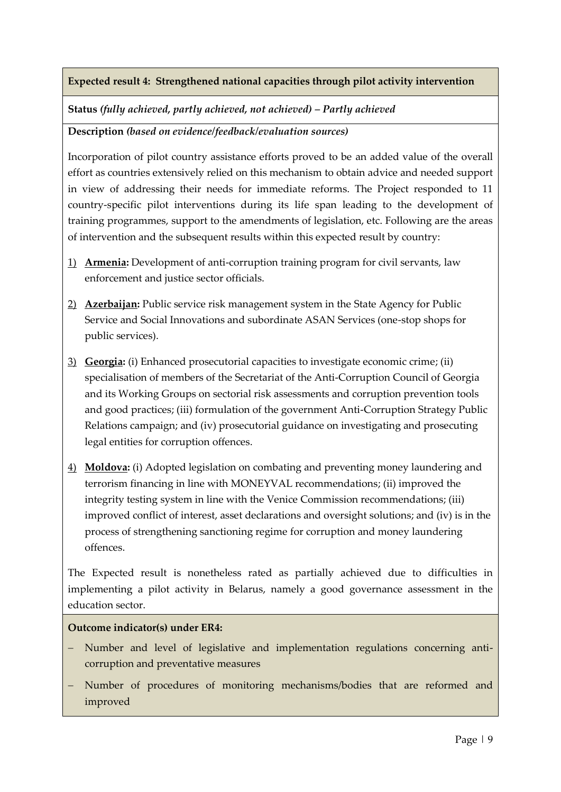# **Expected result 4: Strengthened national capacities through pilot activity intervention**

**Status** *(fully achieved, partly achieved, not achieved) – Partly achieved*

**Description** *(based on evidence/feedback/evaluation sources)*

Incorporation of pilot country assistance efforts proved to be an added value of the overall effort as countries extensively relied on this mechanism to obtain advice and needed support in view of addressing their needs for immediate reforms. The Project responded to 11 country-specific pilot interventions during its life span leading to the development of training programmes, support to the amendments of legislation, etc. Following are the areas of intervention and the subsequent results within this expected result by country:

- 1) **Armenia:** Development of anti-corruption training program for civil servants, law enforcement and justice sector officials.
- 2) **Azerbaijan:** Public service risk management system in the State Agency for Public Service and Social Innovations and subordinate ASAN Services (one-stop shops for public services).
- 3) **Georgia:** (i) Enhanced prosecutorial capacities to investigate economic crime; (ii) specialisation of members of the Secretariat of the Anti-Corruption Council of Georgia and its Working Groups on sectorial risk assessments and corruption prevention tools and good practices; (iii) formulation of the government Anti-Corruption Strategy Public Relations campaign; and (iv) prosecutorial guidance on investigating and prosecuting legal entities for corruption offences.
- 4) **Moldova:** (i) Adopted legislation on combating and preventing money laundering and terrorism financing in line with MONEYVAL recommendations; (ii) improved the integrity testing system in line with the Venice Commission recommendations; (iii) improved conflict of interest, asset declarations and oversight solutions; and (iv) is in the process of strengthening sanctioning regime for corruption and money laundering offences.

The Expected result is nonetheless rated as partially achieved due to difficulties in implementing a pilot activity in Belarus, namely a good governance assessment in the education sector.

#### **Outcome indicator(s) under ER4:**

- Number and level of legislative and implementation regulations concerning anticorruption and preventative measures
- Number of procedures of monitoring mechanisms/bodies that are reformed and improved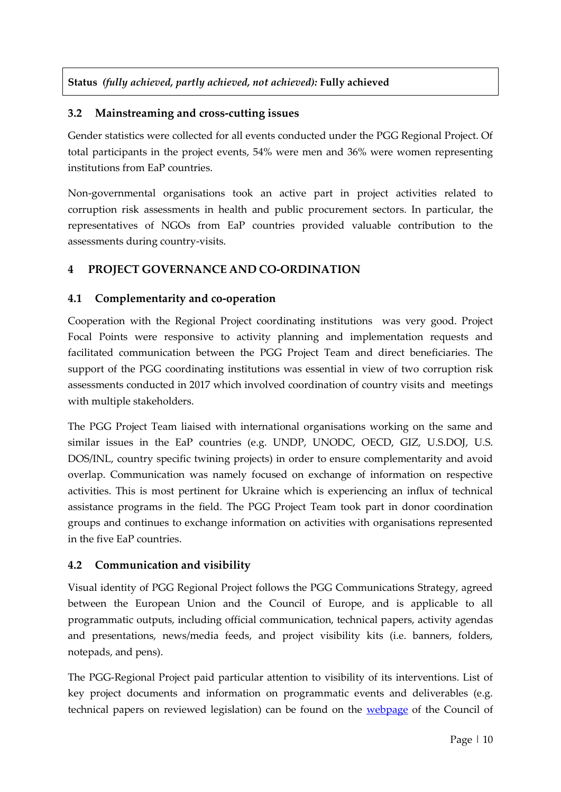# **Status** *(fully achieved, partly achieved, not achieved):* **Fully achieved**

# **3.2 Mainstreaming and cross-cutting issues**

Gender statistics were collected for all events conducted under the PGG Regional Project. Of total participants in the project events, 54% were men and 36% were women representing institutions from EaP countries.

Non-governmental organisations took an active part in project activities related to corruption risk assessments in health and public procurement sectors. In particular, the representatives of NGOs from EaP countries provided valuable contribution to the assessments during country-visits.

# **4 PROJECT GOVERNANCE AND CO-ORDINATION**

## **4.1 Complementarity and co-operation**

Cooperation with the Regional Project coordinating institutions was very good. Project Focal Points were responsive to activity planning and implementation requests and facilitated communication between the PGG Project Team and direct beneficiaries. The support of the PGG coordinating institutions was essential in view of two corruption risk assessments conducted in 2017 which involved coordination of country visits and meetings with multiple stakeholders.

The PGG Project Team liaised with international organisations working on the same and similar issues in the EaP countries (e.g. UNDP, UNODC, OECD, GIZ, U.S.DOJ, U.S. DOS/INL, country specific twining projects) in order to ensure complementarity and avoid overlap. Communication was namely focused on exchange of information on respective activities. This is most pertinent for Ukraine which is experiencing an influx of technical assistance programs in the field. The PGG Project Team took part in donor coordination groups and continues to exchange information on activities with organisations represented in the five EaP countries.

## **4.2 Communication and visibility**

Visual identity of PGG Regional Project follows the PGG Communications Strategy, agreed between the European Union and the Council of Europe, and is applicable to all programmatic outputs, including official communication, technical papers, activity agendas and presentations, news/media feeds, and project visibility kits (i.e. banners, folders, notepads, and pens).

The PGG-Regional Project paid particular attention to visibility of its interventions. List of key project documents and information on programmatic events and deliverables (e.g. technical papers on reviewed legislation) can be found on the [webpage](http://www.coe.int/corruption) of the Council of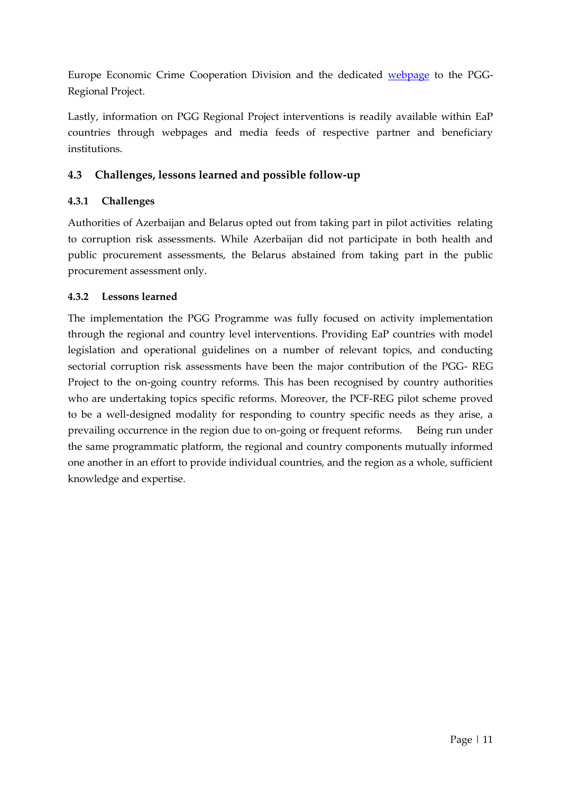Europe Economic Crime Cooperation Division and the dedicated [webpage](https://www.coe.int/en/web/corruption/projects/pgg-regional) to the PGG-Regional Project.

Lastly, information on PGG Regional Project interventions is readily available within EaP countries through webpages and media feeds of respective partner and beneficiary institutions.

# **4.3 Challenges, lessons learned and possible follow-up**

# **4.3.1 Challenges**

Authorities of Azerbaijan and Belarus opted out from taking part in pilot activities relating to corruption risk assessments. While Azerbaijan did not participate in both health and public procurement assessments, the Belarus abstained from taking part in the public procurement assessment only.

## **4.3.2 Lessons learned**

The implementation the PGG Programme was fully focused on activity implementation through the regional and country level interventions. Providing EaP countries with model legislation and operational guidelines on a number of relevant topics, and conducting sectorial corruption risk assessments have been the major contribution of the PGG- REG Project to the on-going country reforms. This has been recognised by country authorities who are undertaking topics specific reforms. Moreover, the PCF-REG pilot scheme proved to be a well-designed modality for responding to country specific needs as they arise, a prevailing occurrence in the region due to on-going or frequent reforms. Being run under the same programmatic platform, the regional and country components mutually informed one another in an effort to provide individual countries, and the region as a whole, sufficient knowledge and expertise.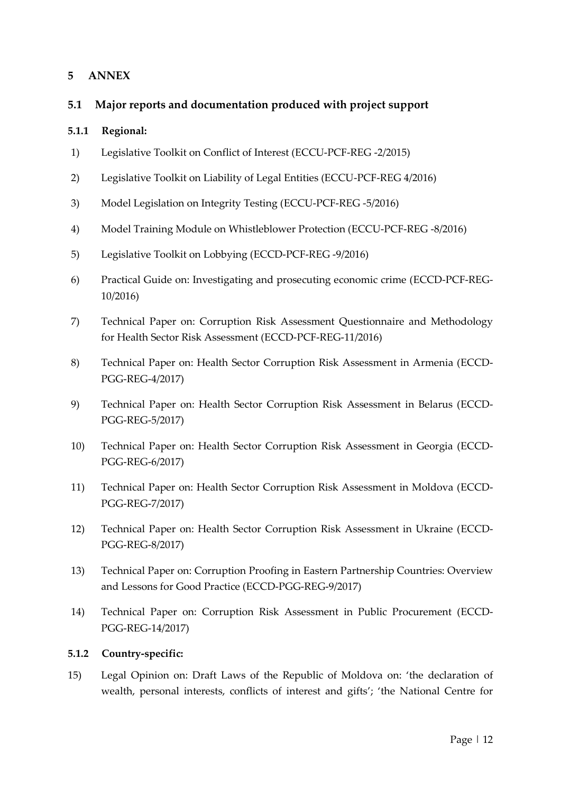## **5 ANNEX**

## **5.1 Major reports and documentation produced with project support**

#### **5.1.1 Regional:**

- 1) Legislative Toolkit on Conflict of Interest (ECCU-PCF-REG -2/2015)
- 2) Legislative Toolkit on Liability of Legal Entities (ECCU-PCF-REG 4/2016)
- 3) Model Legislation on Integrity Testing (ECCU-PCF-REG -5/2016)
- 4) Model Training Module on Whistleblower Protection (ECCU-PCF-REG -8/2016)
- 5) Legislative Toolkit on Lobbying (ECCD-PCF-REG -9/2016)
- 6) Practical Guide on: Investigating and prosecuting economic crime (ECCD-PCF-REG-10/2016)
- 7) Technical Paper on: Corruption Risk Assessment Questionnaire and Methodology for Health Sector Risk Assessment (ECCD-PCF-REG-11/2016)
- 8) Technical Paper on: Health Sector Corruption Risk Assessment in Armenia (ECCD-PGG-REG-4/2017)
- 9) Technical Paper on: Health Sector Corruption Risk Assessment in Belarus (ECCD-PGG-REG-5/2017)
- 10) Technical Paper on: Health Sector Corruption Risk Assessment in Georgia (ECCD-PGG-REG-6/2017)
- 11) Technical Paper on: Health Sector Corruption Risk Assessment in Moldova (ECCD-PGG-REG-7/2017)
- 12) Technical Paper on: Health Sector Corruption Risk Assessment in Ukraine (ECCD-PGG-REG-8/2017)
- 13) Technical Paper on: Corruption Proofing in Eastern Partnership Countries: Overview and Lessons for Good Practice (ECCD-PGG-REG-9/2017)
- 14) Technical Paper on: Corruption Risk Assessment in Public Procurement (ECCD-PGG-REG-14/2017)

#### **5.1.2 Country-specific:**

15) Legal Opinion on: Draft Laws of the Republic of Moldova on: 'the declaration of wealth, personal interests, conflicts of interest and gifts'; 'the National Centre for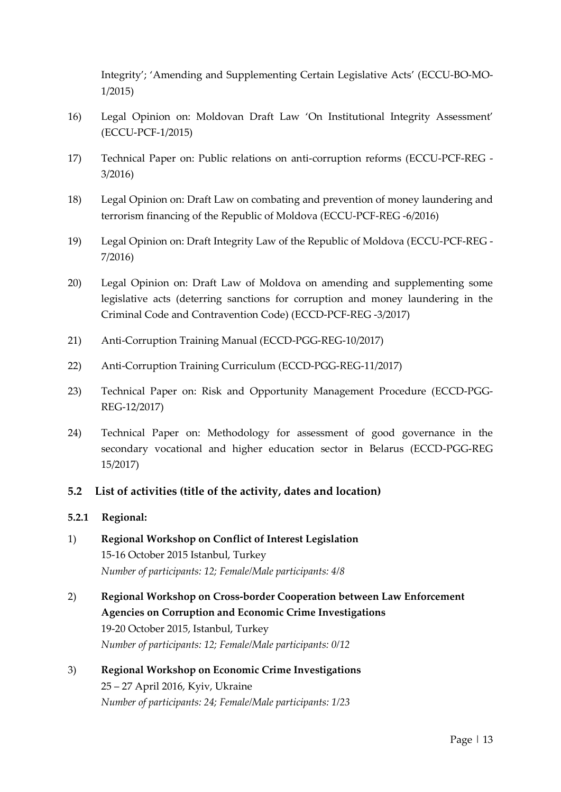Integrity'; 'Amending and Supplementing Certain Legislative Acts' (ECCU-BO-MO-1/2015)

- 16) Legal Opinion on: Moldovan Draft Law 'On Institutional Integrity Assessment' (ECCU-PCF-1/2015)
- 17) Technical Paper on: Public relations on anti-corruption reforms (ECCU-PCF-REG 3/2016)
- 18) Legal Opinion on: Draft Law on combating and prevention of money laundering and terrorism financing of the Republic of Moldova (ECCU-PCF-REG -6/2016)
- 19) Legal Opinion on: Draft Integrity Law of the Republic of Moldova (ECCU-PCF-REG 7/2016)
- 20) Legal Opinion on: Draft Law of Moldova on amending and supplementing some legislative acts (deterring sanctions for corruption and money laundering in the Criminal Code and Contravention Code) (ECCD-PCF-REG -3/2017)
- 21) Anti-Corruption Training Manual (ECCD-PGG-REG-10/2017)
- 22) Anti-Corruption Training Curriculum (ECCD-PGG-REG-11/2017)
- 23) Technical Paper on: Risk and Opportunity Management Procedure (ECCD-PGG-REG-12/2017)
- 24) Technical Paper on: Methodology for assessment of good governance in the secondary vocational and higher education sector in Belarus (ECCD-PGG-REG 15/2017)

#### **5.2 List of activities (title of the activity, dates and location)**

#### **5.2.1 Regional:**

- 1) **Regional Workshop on Conflict of Interest Legislation** 15-16 October 2015 Istanbul, Turkey *Number of participants: 12; Female/Male participants: 4/8*
- 2) **Regional Workshop on Cross-border Cooperation between Law Enforcement Agencies on Corruption and Economic Crime Investigations** 19-20 October 2015, Istanbul, Turkey *Number of participants: 12; Female/Male participants: 0/12*
- 3) **Regional Workshop on Economic Crime Investigations** 25 – 27 April 2016, Kyiv, Ukraine *Number of participants: 24; Female/Male participants: 1/23*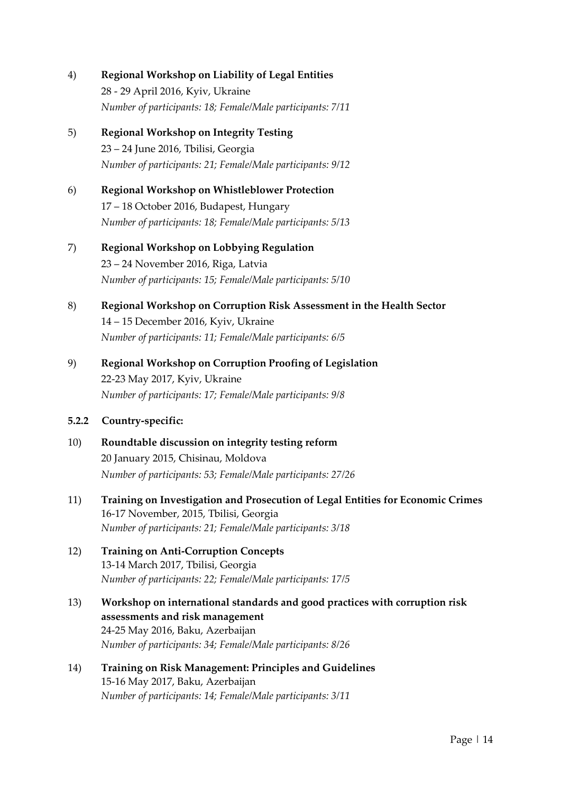- 4) **Regional Workshop on Liability of Legal Entities** 28 - 29 April 2016, Kyiv, Ukraine *Number of participants: 18; Female/Male participants: 7/11*
- 5) **Regional Workshop on Integrity Testing** 23 – 24 June 2016, Tbilisi, Georgia *Number of participants: 21; Female/Male participants: 9/12*
- 6) **Regional Workshop on Whistleblower Protection** 17 – 18 October 2016, Budapest, Hungary *Number of participants: 18; Female/Male participants: 5/13*
- 7) **Regional Workshop on Lobbying Regulation** 23 – 24 November 2016, Riga, Latvia *Number of participants: 15; Female/Male participants: 5/10*
- 8) **Regional Workshop on Corruption Risk Assessment in the Health Sector** 14 – 15 December 2016, Kyiv, Ukraine *Number of participants: 11; Female/Male participants: 6/5*
- 9) **Regional Workshop on Corruption Proofing of Legislation** 22-23 May 2017, Kyiv, Ukraine *Number of participants: 17; Female/Male participants: 9/8*

## **5.2.2 Country-specific:**

- 10) **Roundtable discussion on integrity testing reform** 20 January 2015, Chisinau, Moldova *Number of participants: 53; Female/Male participants: 27/26*
- 11) **Training on Investigation and Prosecution of Legal Entities for Economic Crimes** 16-17 November, 2015, Tbilisi, Georgia *Number of participants: 21; Female/Male participants: 3/18*
- 12) **Training on Anti-Corruption Concepts** 13-14 March 2017, Tbilisi, Georgia *Number of participants: 22; Female/Male participants: 17/5*
- 13) **Workshop on international standards and good practices with corruption risk assessments and risk management** 24-25 May 2016, Baku, Azerbaijan *Number of participants: 34; Female/Male participants: 8/26*
- 14) **Training on Risk Management: Principles and Guidelines** 15-16 May 2017, Baku, Azerbaijan *Number of participants: 14; Female/Male participants: 3/11*